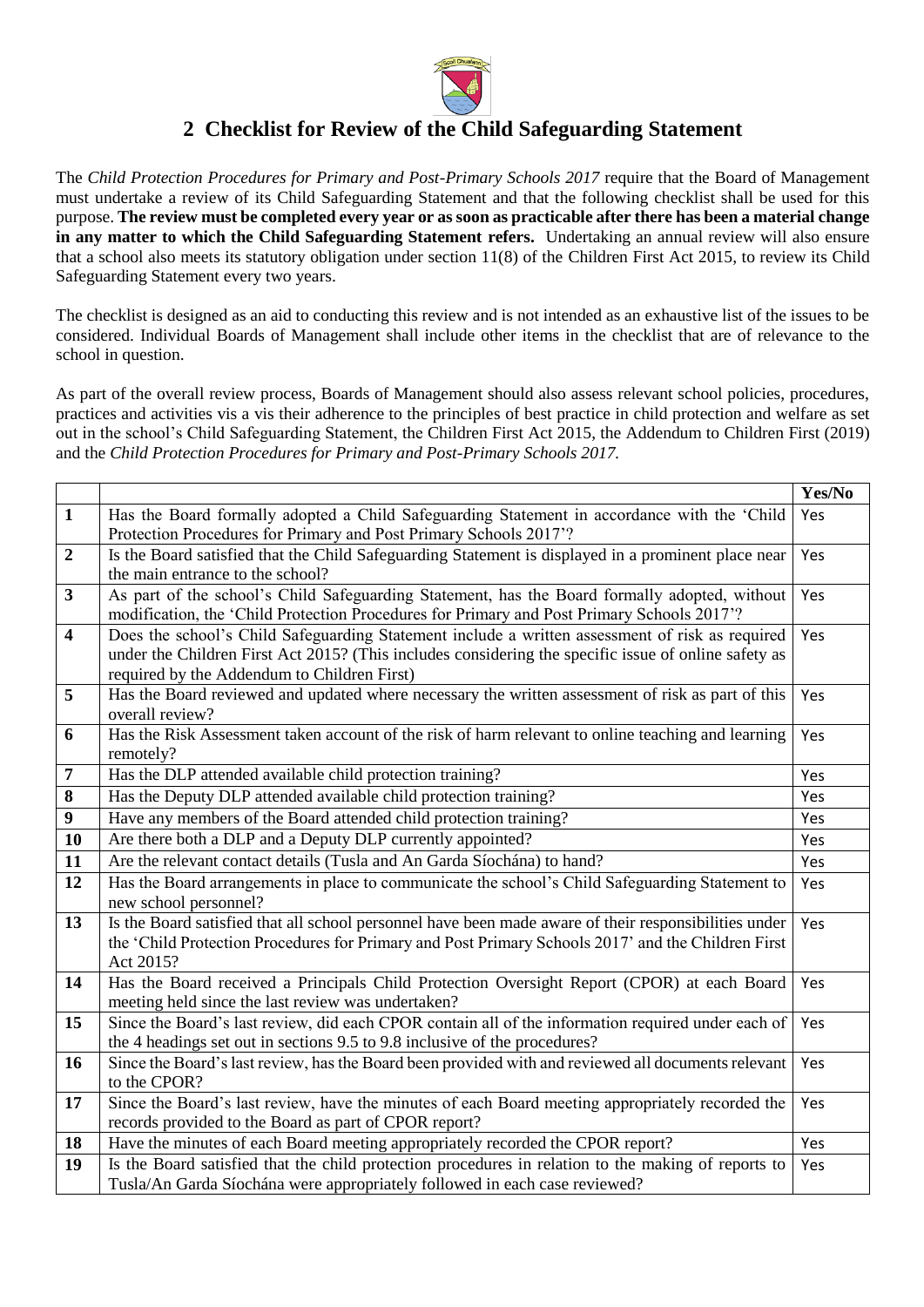

## **2 Checklist for Review of the Child Safeguarding Statement**

The *[Child Protection Procedures for Primary and Post-Primary Schools 2017](https://www.gov.ie/pdf/?file=https://assets.gov.ie/45063/2d4b5b3d781e4ec1ab4f3e5d198717d9.pdf#page=1)* require that the Board of Management must undertake a review of its Child Safeguarding Statement and that the following checklist shall be used for this purpose. **The review must be completed every year or as soon as practicable after there has been a material change in any matter to which the Child Safeguarding Statement refers.** Undertaking an annual review will also ensure that a school also meets its statutory obligation under section 11(8) of the [Children First Act 2015,](http://www.irishstatutebook.ie/eli/2015/act/36/enacted/en/pdf) to review its Child Safeguarding Statement every two years.

The checklist is designed as an aid to conducting this review and is not intended as an exhaustive list of the issues to be considered. Individual Boards of Management shall include other items in the checklist that are of relevance to the school in question.

As part of the overall review process, Boards of Management should also assess relevant school policies, procedures, practices and activities vis a vis their adherence to the principles of best practice in child protection and welfare as set out in the school's Child Safeguarding Statement, the [Children First Act 2015,](http://www.irishstatutebook.ie/eli/2015/act/36/enacted/en/pdf) the [Addendum to Children First \(2019\)](https://assets.gov.ie/25819/c9744b64dfd6447985eeffa5c0d71bbb.pdf) and the *[Child Protection Procedures for Primary and Post-Primary Schools 2017.](https://www.gov.ie/pdf/?file=https://assets.gov.ie/45063/2d4b5b3d781e4ec1ab4f3e5d198717d9.pdf#page=1)*

|                         |                                                                                                       | Yes/No |
|-------------------------|-------------------------------------------------------------------------------------------------------|--------|
| $\mathbf{1}$            | Has the Board formally adopted a Child Safeguarding Statement in accordance with the 'Child           | Yes    |
|                         | Protection Procedures for Primary and Post Primary Schools 2017'?                                     |        |
| $\overline{2}$          | Is the Board satisfied that the Child Safeguarding Statement is displayed in a prominent place near   | Yes    |
|                         | the main entrance to the school?                                                                      |        |
| $\mathbf{3}$            | As part of the school's Child Safeguarding Statement, has the Board formally adopted, without         | Yes    |
|                         | modification, the 'Child Protection Procedures for Primary and Post Primary Schools 2017'?            |        |
| $\overline{\mathbf{4}}$ | Does the school's Child Safeguarding Statement include a written assessment of risk as required       | Yes    |
|                         | under the Children First Act 2015? (This includes considering the specific issue of online safety as  |        |
|                         | required by the Addendum to Children First)                                                           |        |
| 5                       | Has the Board reviewed and updated where necessary the written assessment of risk as part of this     | Yes    |
|                         | overall review?                                                                                       |        |
| 6                       | Has the Risk Assessment taken account of the risk of harm relevant to online teaching and learning    | Yes    |
|                         | remotely?                                                                                             |        |
| $\overline{7}$          | Has the DLP attended available child protection training?                                             | Yes    |
| 8                       | Has the Deputy DLP attended available child protection training?                                      | Yes    |
| $\boldsymbol{9}$        | Have any members of the Board attended child protection training?                                     | Yes    |
| <b>10</b>               | Are there both a DLP and a Deputy DLP currently appointed?                                            | Yes    |
| 11                      | Are the relevant contact details (Tusla and An Garda Síochána) to hand?                               | Yes    |
| 12                      | Has the Board arrangements in place to communicate the school's Child Safeguarding Statement to       | Yes    |
|                         | new school personnel?                                                                                 |        |
| 13                      | Is the Board satisfied that all school personnel have been made aware of their responsibilities under | Yes    |
|                         | the 'Child Protection Procedures for Primary and Post Primary Schools 2017' and the Children First    |        |
|                         | Act 2015?                                                                                             |        |
| 14                      | Has the Board received a Principals Child Protection Oversight Report (CPOR) at each Board            | Yes    |
|                         | meeting held since the last review was undertaken?                                                    |        |
| 15                      | Since the Board's last review, did each CPOR contain all of the information required under each of    | Yes    |
|                         | the 4 headings set out in sections 9.5 to 9.8 inclusive of the procedures?                            |        |
| 16                      | Since the Board's last review, has the Board been provided with and reviewed all documents relevant   | Yes    |
|                         | to the CPOR?                                                                                          |        |
| 17                      | Since the Board's last review, have the minutes of each Board meeting appropriately recorded the      | Yes    |
|                         | records provided to the Board as part of CPOR report?                                                 |        |
| 18                      | Have the minutes of each Board meeting appropriately recorded the CPOR report?                        | Yes    |
| 19                      | Is the Board satisfied that the child protection procedures in relation to the making of reports to   | Yes    |
|                         | Tusla/An Garda Síochána were appropriately followed in each case reviewed?                            |        |